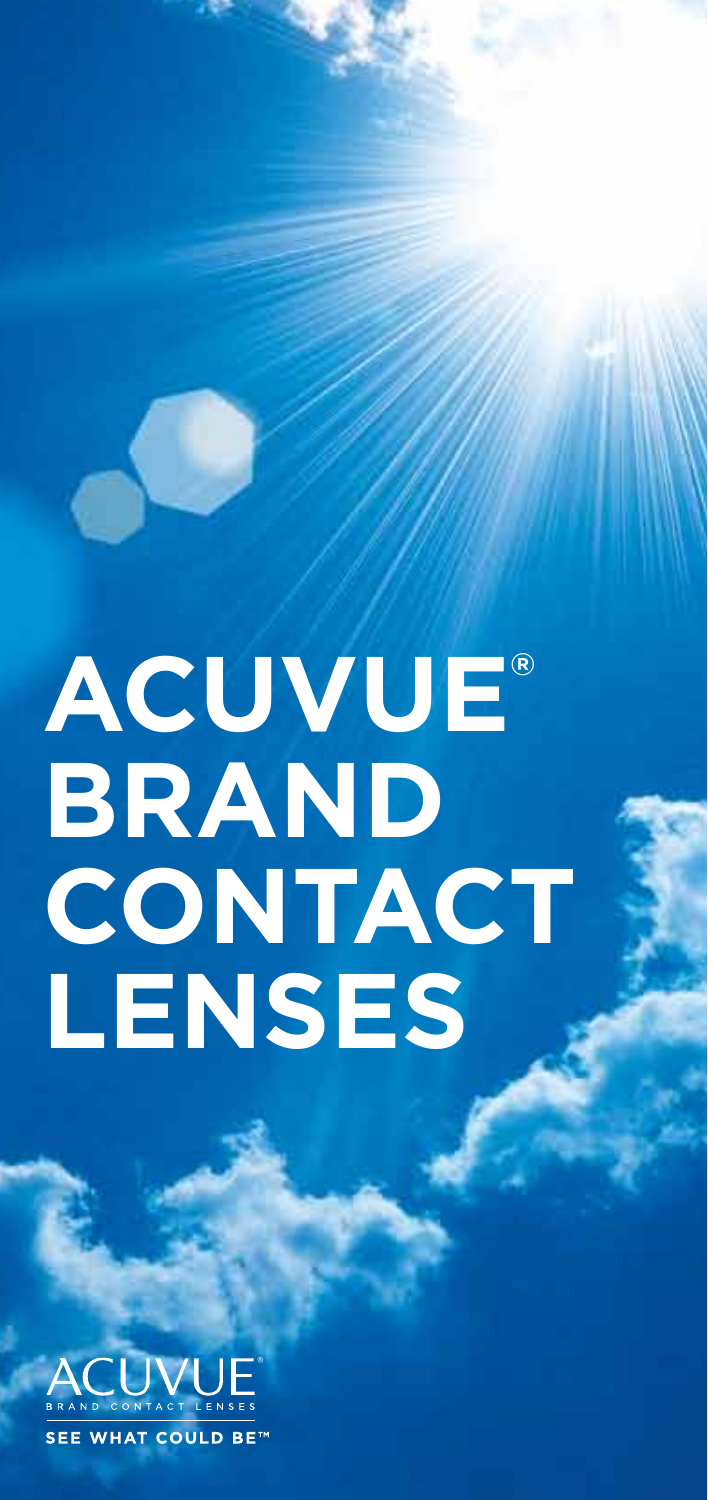# **ACUVUE® Brand Contact Lenses**

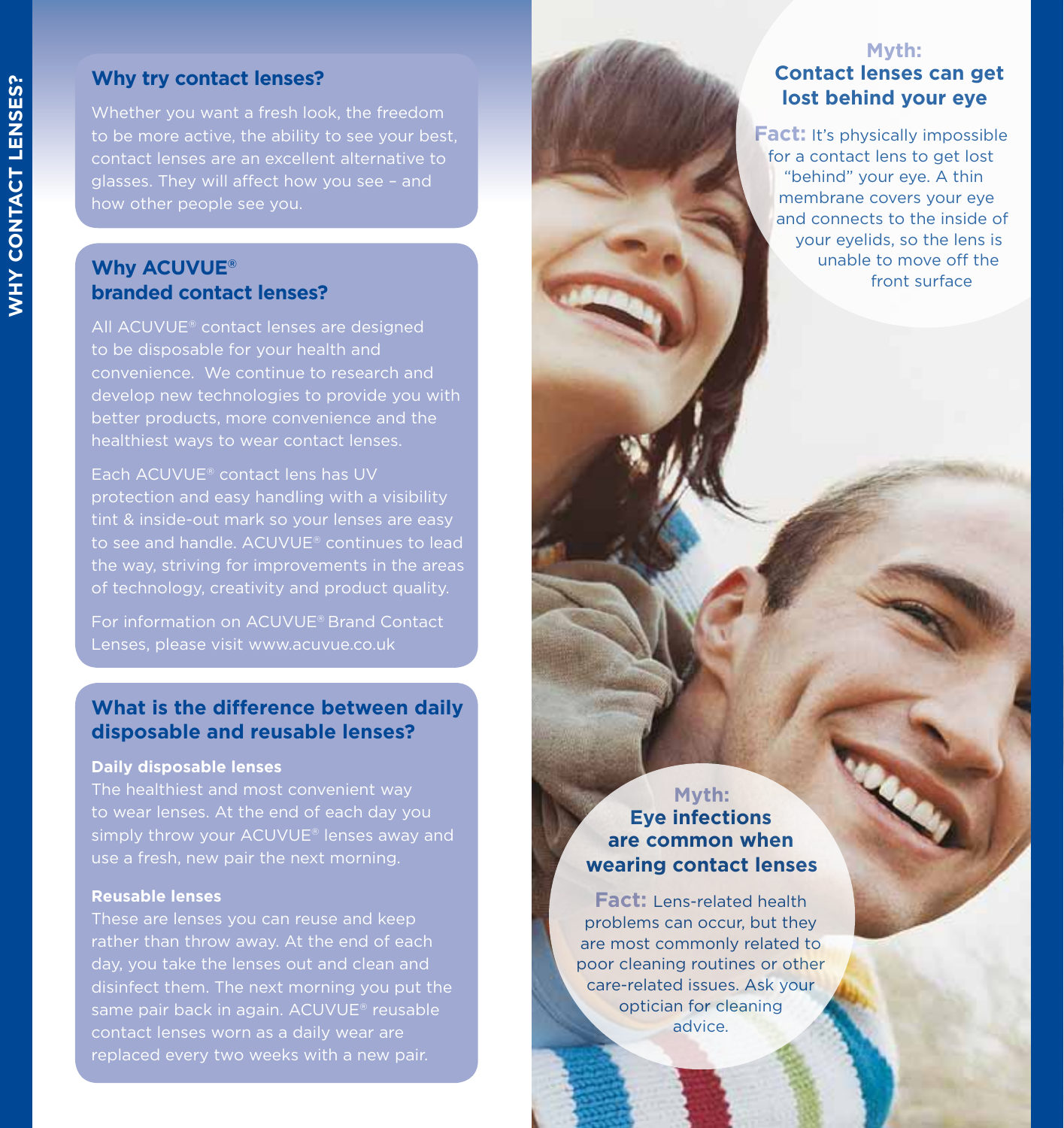#### **Why try contact lenses?**

contact lenses are an excellent alternative to glasses. They will affect how you see – and how other people see you.

#### **Why ACUVUE®** unable to move off the surface of the surface of the surface of the surface of the surface of the surface of the surface of the surface of the surface of the surface of the surface of the surface of the surfa **branded contact lenses?**

All ACUVUE® contact lenses are designed to be disposable for your health and convenience. We continue to research and develop new technologies to provide you with better products, more convenience and the healthiest ways to wear contact lenses.

Each ACUVUE® contact lens has UV protection and easy handling with a visibility tint & inside-out mark so your lenses are easy to see and handle. ACUVUE® continues to lead the way, striving for improvements in the areas of technology, creativity and product quality.

For information on ACUVUE® Brand Contact Lenses, please visit www.acuvue.co.uk

#### **What is the difference between daily disposable and reusable lenses?**

#### **Daily disposable lenses**

The healthiest and most convenient way to wear lenses. At the end of each day you simply throw your ACUVUE® lenses away and

#### **Reusable lenses**

These are lenses you can reuse and keep rather than throw away. At the end of each day, you take the lenses out and clean and disinfect them. The next morning you put the same pair back in again. ACUVUE® reusable contact lenses worn as a daily wear are replaced every two weeks with a new pair.

#### **Myth: Contact lenses can get lost behind your eye**

**Fact:** It's physically impossible for a contact lens to get lost "behind" your eye. A thin membrane covers your eye and connects to the inside of your eyelids, so the lens is unable to move off the

#### **Myth: Eye infections are common when wearing contact lenses**

**Fact:** Lens-related health problems can occur, but they are most commonly related to poor cleaning routines or other care-related issues. Ask your optician for cleaning advice.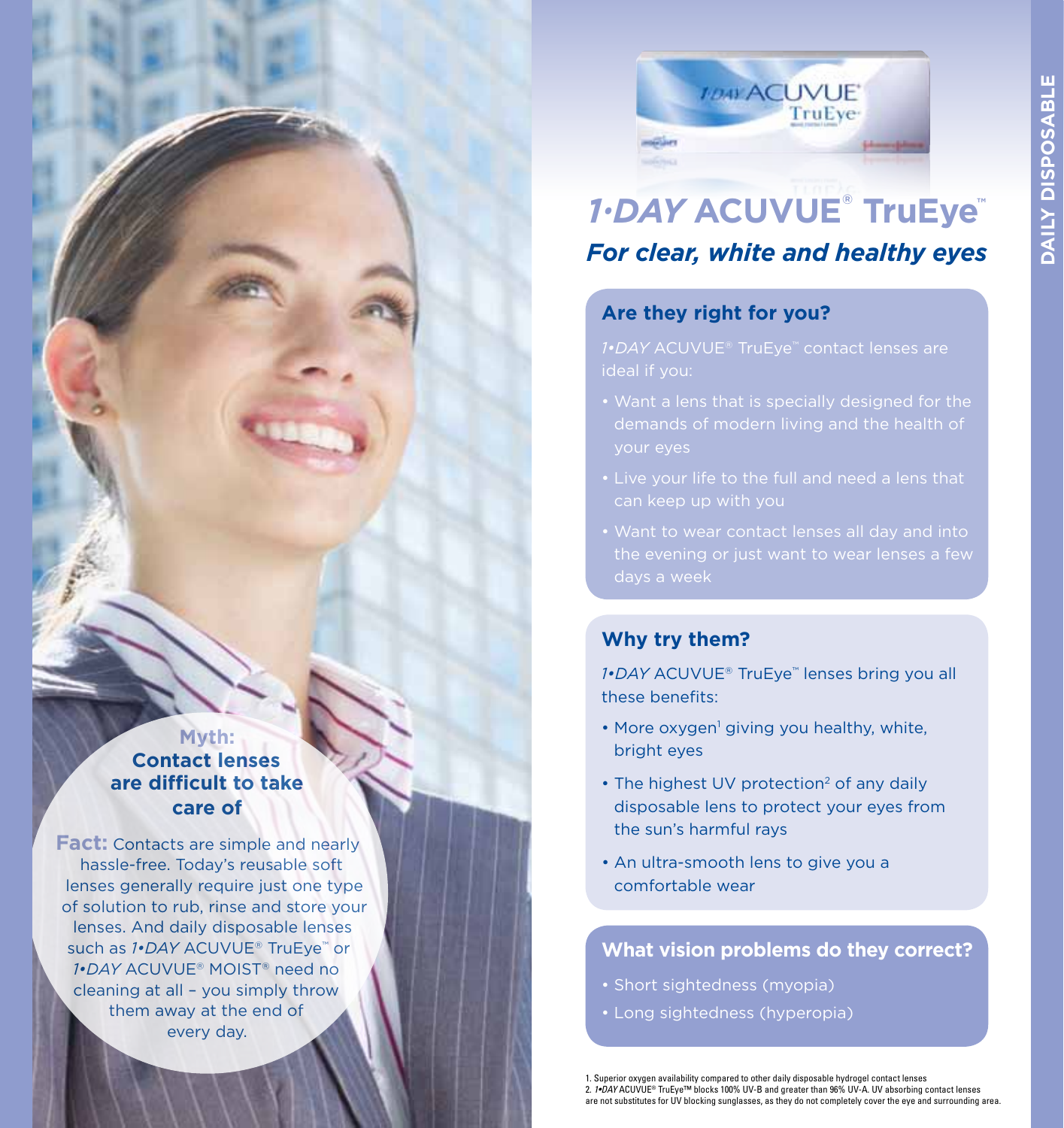

# *1•DAY* **ACUVUE® TruEye™** *For clear, white and healthy eyes*

#### **Are they right for you?**

ideal if you:

- Want a lens that is specially designed for the your eyes
- 
- 

#### **Why try them?**

*1•DAY* ACUVUE® TruEye™ lenses bring you all these benefits:

- More oxygen<sup>1</sup> giving you healthy, white, bright eyes
- The highest UV protection<sup>2</sup> of any daily disposable lens to protect your eyes from the sun's harmful rays
- An ultra-smooth lens to give you a comfortable wear

#### **What vision problems do they correct?**

- Short sightedness (myopia)
- Long sightedness (hyperopia)

**Myth: Contact lenses are difficult to take care of**

**Fact:** Contacts are simple and nearly hassle-free. Today's reusable soft lenses generally require just one type of solution to rub, rinse and store your lenses. And daily disposable lenses such as *1•DAY* ACUVUE<sup>®</sup> TruEve<sup>™</sup> or *1•DAY* ACUVUE® MOIST® need no cleaning at all – you simply throw them away at the end of every day.

> 1. Superior oxygen availability compared to other daily disposable hydrogel contact lenses 2. *1•DAY* ACUVUE® TruEye™ blocks 100% UV-B and greater than 96% UV-A. UV absorbing contact lenses are not substitutes for UV blocking sunglasses, as they do not completely cover the eye and surrounding area.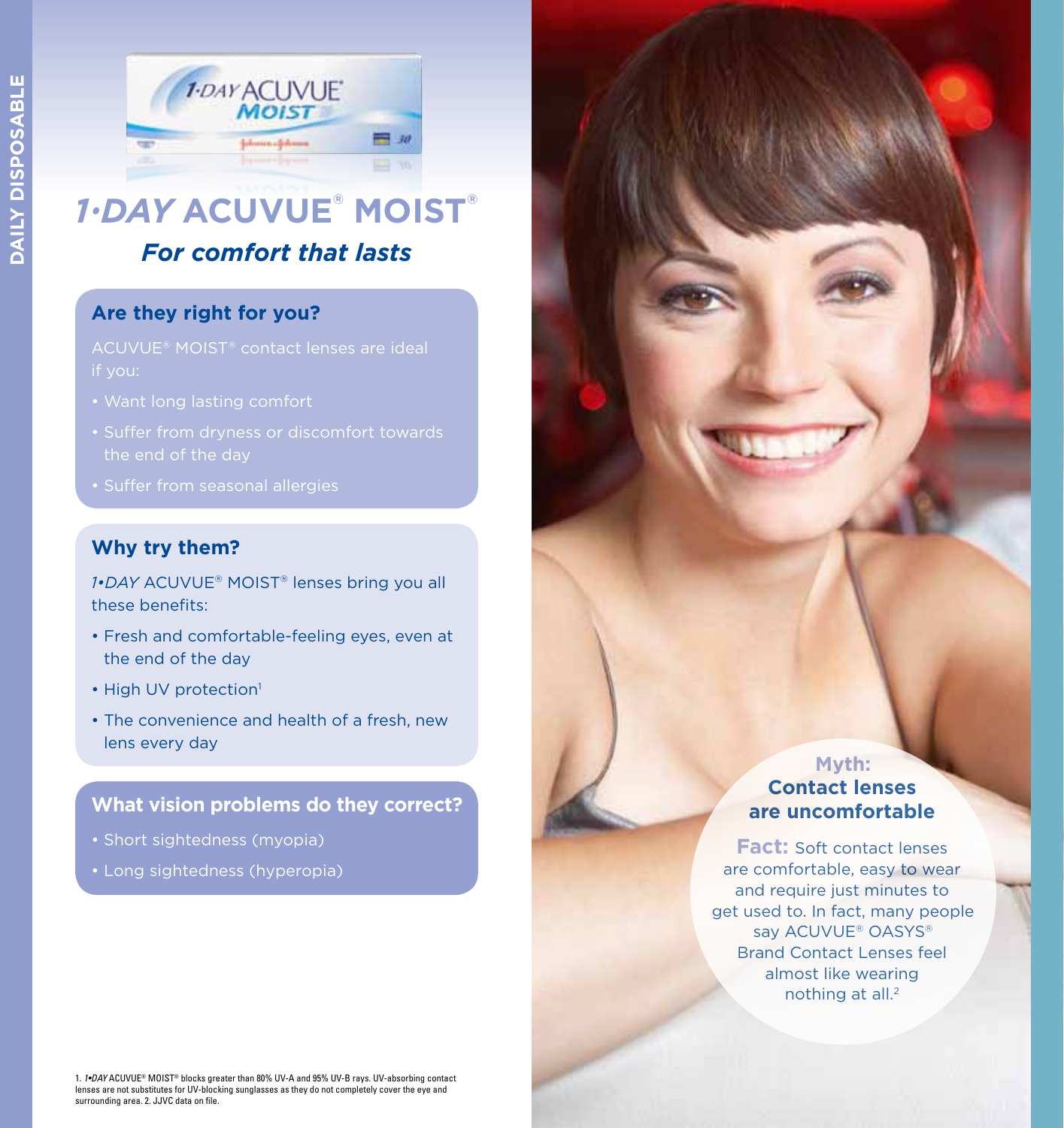

### *1•DAY* **ACUVUE® MOIST®** *For comfort that lasts*

#### **Are they right for you?**

- 
- Suffer from dryness or discomfort towards
- 

#### **Why try them?**

*1•DAY* ACUVUE® MOIST® lenses bring you all these benefits:

- Fresh and comfortable-feeling eyes, even at the end of the day
- High UV protection<sup>1</sup>
- The convenience and health of a fresh, new lens every day

#### **What vision problems do they correct?**

- Short sightedness (myopia)
- Long sightedness (hyperopia)

#### **Myth: Contact lenses are uncomfortable**

**Fact:** Soft contact lenses are comfortable, easy to wear and require just minutes to get used to. In fact, many people say ACUVUE<sup>®</sup> OASYS<sup>®</sup> Brand Contact Lenses feel almost like wearing nothing at all.<sup>2</sup>

1. *1•DAY* ACUVUE® MOIST® blocks greater than 80% UV-A and 95% UV-B rays. UV-absorbing contact lenses are not substitutes for UV-blocking sunglasses as they do not completely cover the eye and surrounding area. 2. JJVC data on file.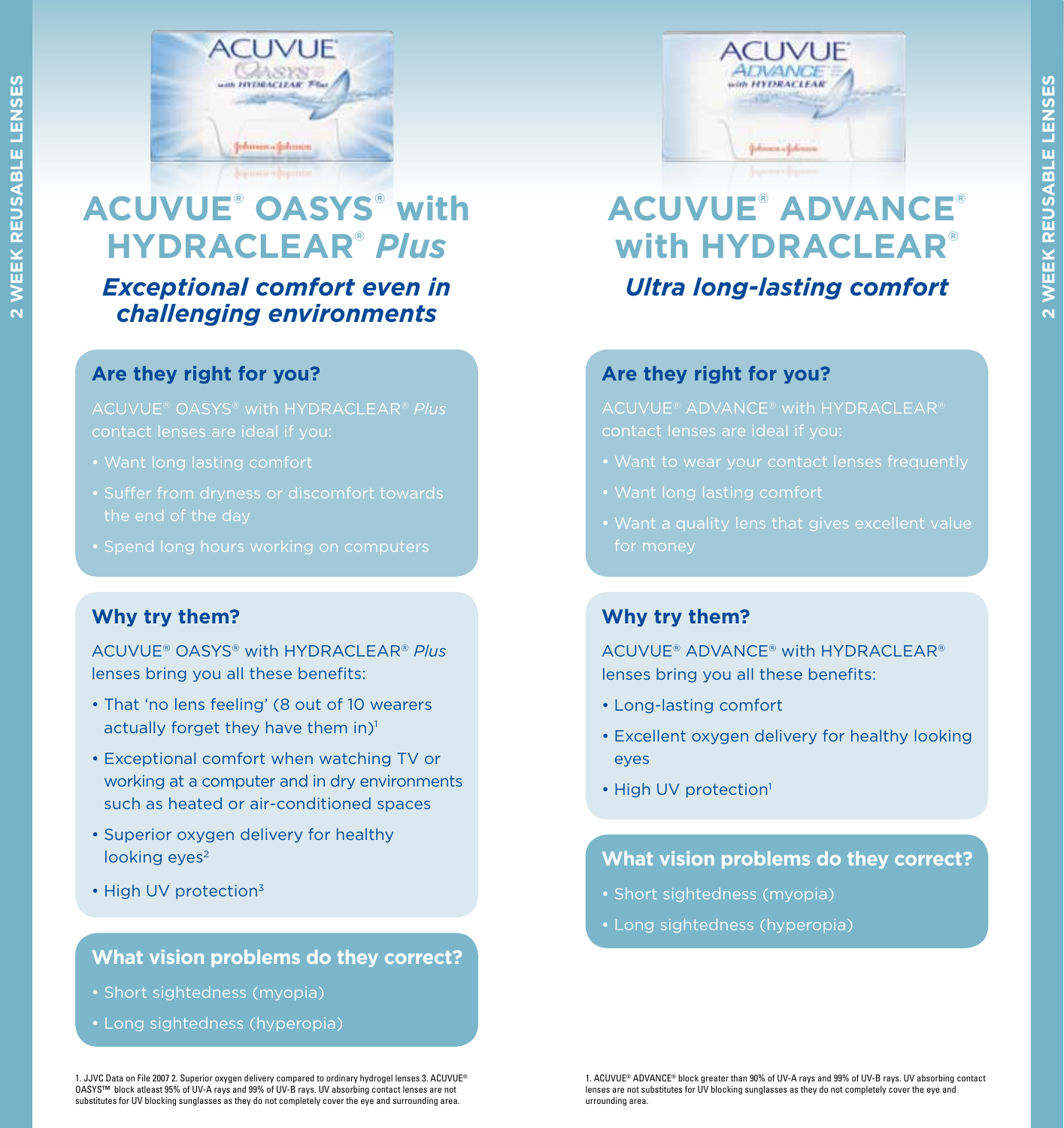

# **ACUVUE® OASYS® with HYDRACLEAR®** *Plus*

*Exceptional comfort even in challenging environments*

#### **Are they right for you?**

ACUVUE® OASYS® with HYDRACLEAR® *Plus* contact lenses are ideal if you:

- 
- the end of the day
- 

#### **Why try them?**

ACUVUE® OASYS® with HYDRACLEAR® *Plus* lenses bring you all these benefits:

- That 'no lens feeling' (8 out of 10 wearers actually forget they have them in)<sup>1</sup>
- Exceptional comfort when watching TV or working at a computer and in dry environments such as heated or air-conditioned spaces
- Superior oxygen delivery for healthy looking eyes<sup>2</sup>
- High UV protection<sup>3</sup>

#### **What vision problems do they correct?**

- Short sightedness (myopia)
- Long sightedness (hyperopia)

1. JJVC Data on File 2007 2. Superior oxygen delivery compared to ordinary hydrogel lenses 3. ACUVUE® OASYS™ block atleast 95% of UV-A rays and 99% of UV-B rays. UV absorbing contact lenses are not substitutes for UV blocking sunglasses as they do not completely cover the eye and surrounding area.



# **ACUVUE® ADVANCE® with HYDRACLEAR®** *Ultra long-lasting comfort*

#### **Are they right for you?**

ACUVUE® ADVANCE® with HYDRACLEAR®

- 
- 
- 

#### **Why try them?**

ACUVUE® ADVANCE® with HYDRACLEAR® lenses bring you all these benefits:

- Long-lasting comfort
- Excellent oxygen delivery for healthy looking eyes
- High UV protection<sup>1</sup>

#### **What vision problems do they correct?**

- Short sightedness (myopia)
- Long sightedness (hyperopia)

1. ACUVUE® ADVANCE® block greater than 90% of UV-A rays and 99% of UV-B rays. UV absorbing contact lenses are not substitutes for UV blocking sunglasses as they do not completely cover the eye and urrounding area.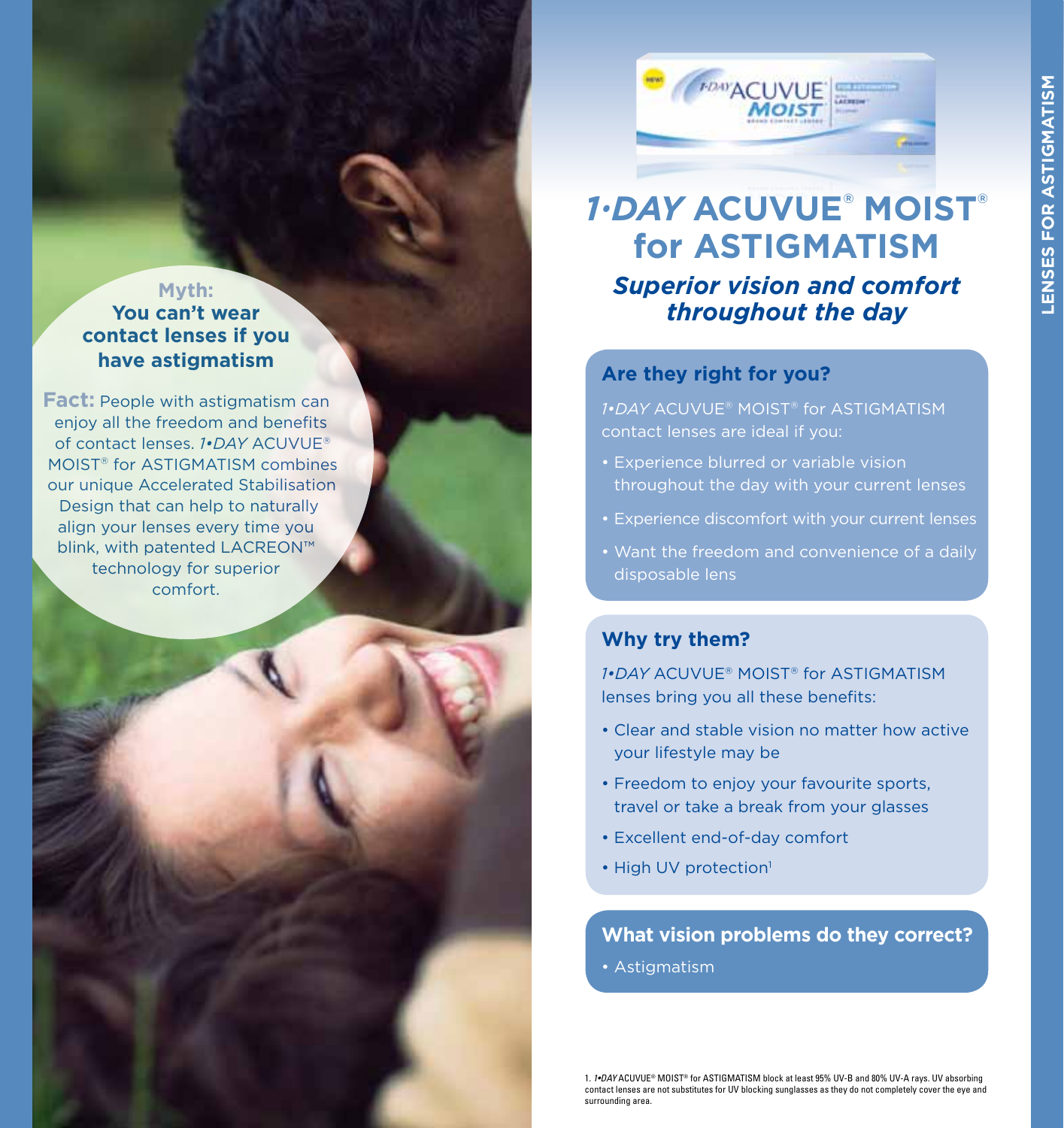#### **Myth: You can't wear contact lenses if you have astigmatism**

**Fact:** People with astigmatism can enjoy all the freedom and benefits of contact lenses. *1•DAY* ACUVUE® MOIST® for ASTIGMATISM combines our unique Accelerated Stabilisation Design that can help to naturally align your lenses every time you blink, with patented LACREON™ technology for superior comfort.



## *Superior vision and comfort throughout the day 1•DAY* **ACUVUE® MOIST® for ASTIGMATISM**

#### **Are they right for you?**

*1•DAY* ACUVUE® MOIST® for ASTIGMATISM contact lenses are ideal if you:

- Experience blurred or variable vision throughout the day with your current lenses
- 
- Want the freedom and convenience of a daily disposable lens

#### **Why try them?**

*1•DAY* ACUVUE® MOIST® for ASTIGMATISM lenses bring you all these benefits:

- Clear and stable vision no matter how active your lifestyle may be
- Freedom to enjoy your favourite sports, travel or take a break from your glasses
- Excellent end-of-day comfort
- High UV protection<sup>1</sup>

**What vision problems do they correct?**

• Astigmatism

1. *1•DAY* ACUVUE® MOIST® for ASTIGMATISM block at least 95% UV-B and 80% UV-A rays. UV absorbing contact lenses are not substitutes for UV blocking sunglasses as they do not completely cover the eye and surrounding area.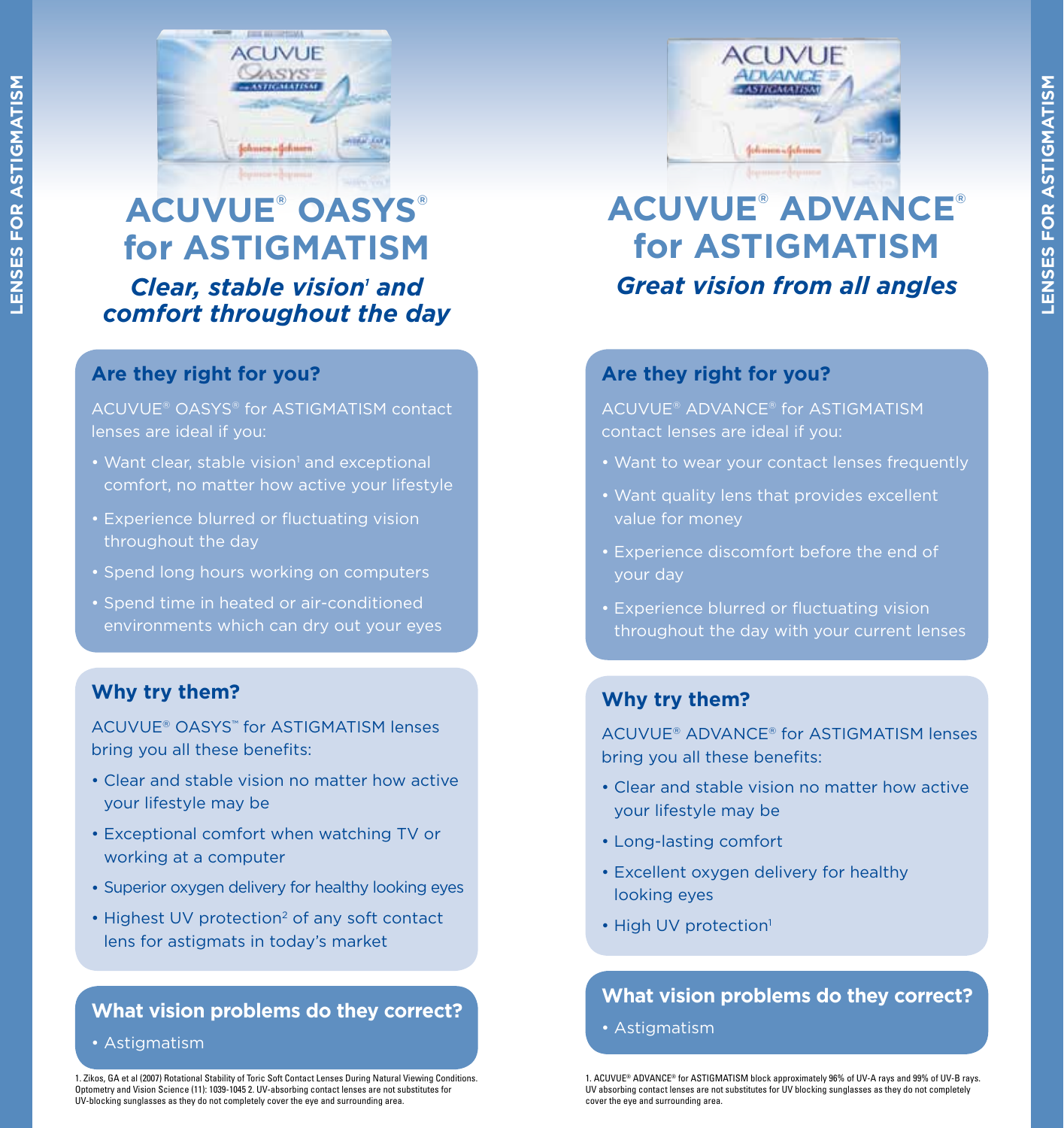

## *Clear, stable vision' and comfort throughout the day* **ACUVUE® OASYS® for ASTIGMATISM**

#### **Are they right for you?**

ACUVUE® OASYS® for ASTIGMATISM contact lenses are ideal if you:

- Want clear, stable vision<sup>1</sup> and exceptional comfort, no matter how active your lifestyle
- Experience blurred or fluctuating vision throughout the day
- Spend long hours working on computers
- Spend time in heated or air-conditioned environments which can dry out your eyes

#### **Why try them?**

ACUVUE® OASYS™ for ASTIGMATISM lenses bring you all these benefits:

- Clear and stable vision no matter how active your lifestyle may be
- Exceptional comfort when watching TV or working at a computer
- Superior oxygen delivery for healthy looking eyes
- Highest UV protection<sup>2</sup> of any soft contact lens for astigmats in today's market

#### **What vision problems do they correct?**

• Astigmatism

1. Zikos, GA et al (2007) Rotational Stability of Toric Soft Contact Lenses During Natural Viewing Conditions. Optometry and Vision Science (11): 1039-1045 2. UV-absorbing contact lenses are not substitutes for UV-blocking sunglasses as they do not completely cover the eye and surrounding area.



# *Great vision from all angles* **ACUVUE® ADVANCE® for ASTIGMATISM**

#### **Are they right for you?**

ACUVUE® ADVANCE® for ASTIGMATISM contact lenses are ideal if you:

- Want to wear your contact lenses frequently
- value for money
- Experience discomfort before the end of your day
- Experience blurred or fluctuating vision throughout the day with your current lenses

#### **Why try them?**

ACUVUE® ADVANCE® for ASTIGMATISM lenses bring you all these benefits:

- Clear and stable vision no matter how active your lifestyle may be
- Long-lasting comfort
- Excellent oxygen delivery for healthy looking eyes
- High UV protection<sup>1</sup>

#### **What vision problems do they correct?**

• Astigmatism

1. ACUVUE® ADVANCE® for ASTIGMATISM block approximately 96% of UV-A rays and 99% of UV-B rays. UV absorbing contact lenses are not substitutes for UV blocking sunglasses as they do not completely cover the eye and surrounding area.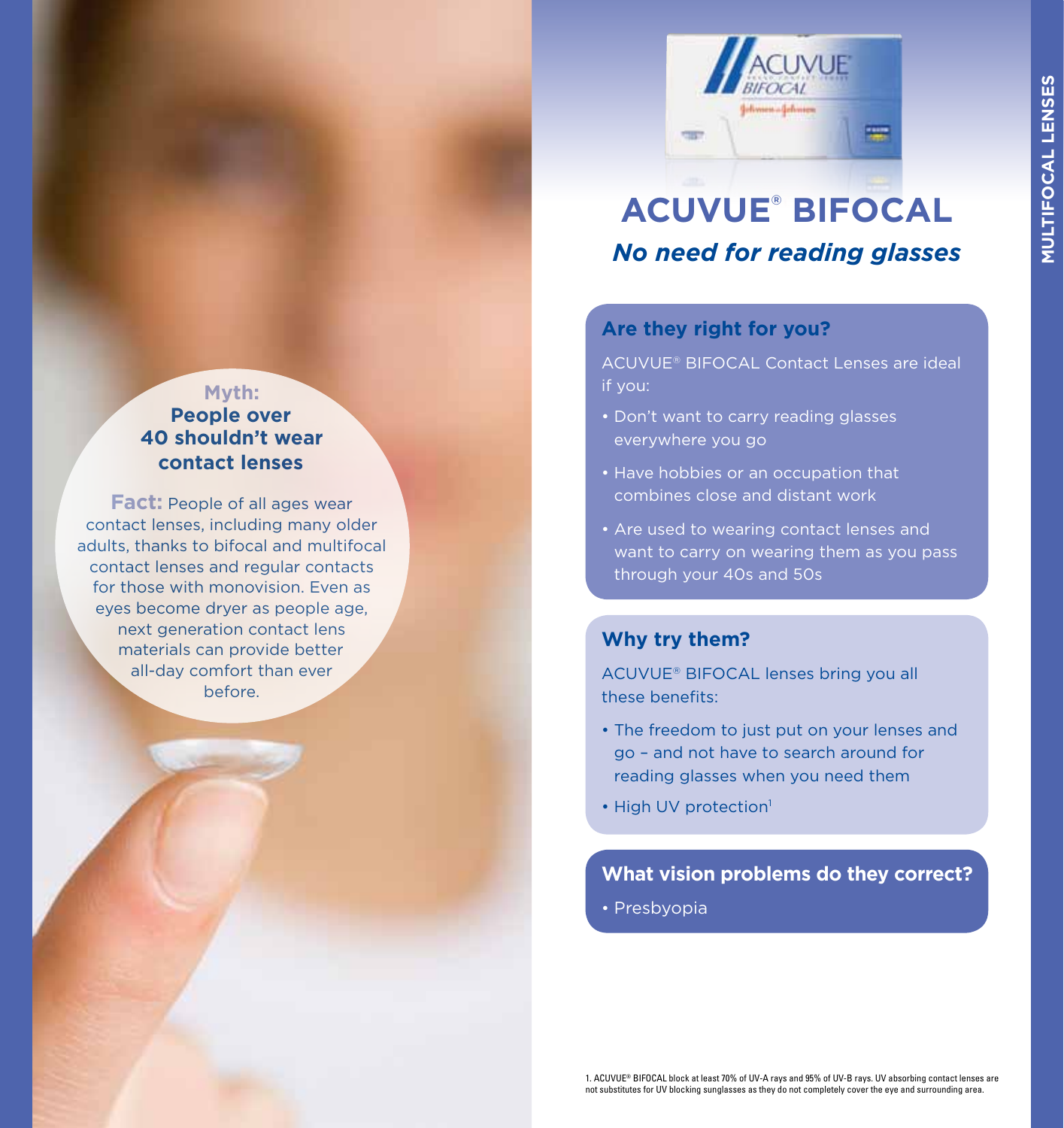

## **ACUVUE® BIFOCAL** *No need for reading glasses*

#### **Are they right for you?**

ACUVUE® BIFOCAL Contact Lenses are ideal if you:

- Don't want to carry reading glasses everywhere you go
- Have hobbies or an occupation that combines close and distant work
- Are used to wearing contact lenses and want to carry on wearing them as you pass through your 40s and 50s

#### **Why try them?**

ACUVUE® BIFOCAL lenses bring you all these benefits:

- The freedom to just put on your lenses and go – and not have to search around for reading glasses when you need them
- High UV protection<sup>1</sup>

#### **What vision problems do they correct?**

• Presbyopia

#### **Myth: People over 40 shouldn't wear contact lenses**

**Fact:** People of all ages wear contact lenses, including many older adults, thanks to bifocal and multifocal contact lenses and regular contacts for those with monovision. Even as eyes become dryer as people age, next generation contact lens materials can provide better all-day comfort than ever before.